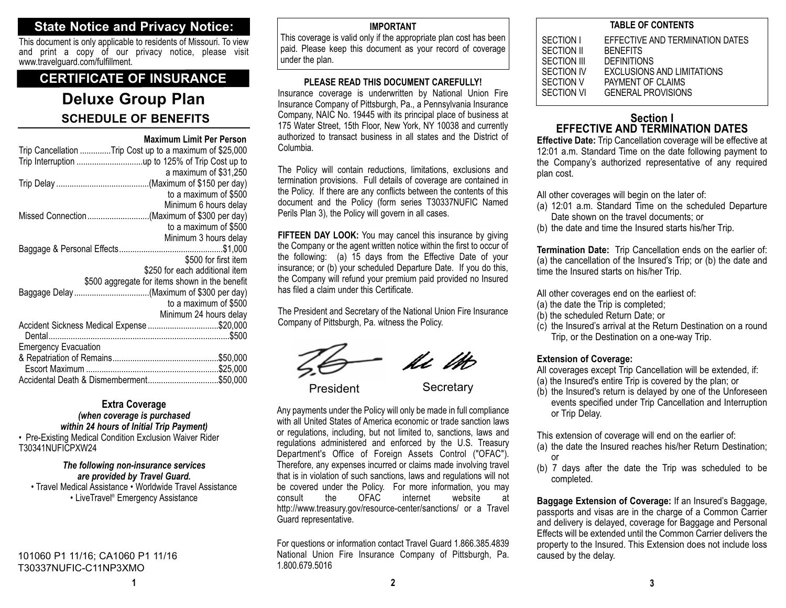## **State Notice and Privacy Notice:**

This document is only applicable to residents of Missouri. To view and print a copy of our privacy notice, please visit www.travelguard.com/fulfillment.

## **CERTIFICATE OF INSURANCE**

# **Deluxe Group Plan SCHEDULE OF BENEFITS**

#### **Maximum Limit Per Person**

| Trip Cancellation Trip Cost up to a maximum of \$25,000 |  |  |  |
|---------------------------------------------------------|--|--|--|
|                                                         |  |  |  |
| a maximum of \$31,250                                   |  |  |  |
|                                                         |  |  |  |
| to a maximum of \$500                                   |  |  |  |
| Minimum 6 hours delay                                   |  |  |  |
| Missed Connection(Maximum of \$300 per day)             |  |  |  |
| to a maximum of \$500                                   |  |  |  |
| Minimum 3 hours delay                                   |  |  |  |
|                                                         |  |  |  |
| \$500 for first item                                    |  |  |  |
| \$250 for each additional item                          |  |  |  |
| \$500 aggregate for items shown in the benefit          |  |  |  |
|                                                         |  |  |  |
| to a maximum of \$500                                   |  |  |  |
| Minimum 24 hours delay                                  |  |  |  |
| Accident Sickness Medical Expense \$20,000              |  |  |  |
|                                                         |  |  |  |
| <b>Emergency Evacuation</b>                             |  |  |  |
|                                                         |  |  |  |
|                                                         |  |  |  |
|                                                         |  |  |  |

#### **Extra Coverage** *(when coverage is purchased within 24 hours of Initial Trip Payment)*

• Pre-Existing Medical Condition Exclusion Waiver Rider T30341NUFICPXW24

## *The following non-insurance services are provided by Travel Guard.* • Travel Medical Assistance • Worldwide Travel Assistance

• LiveTravel® Emergency Assistance

101060 P1 11/16; CA1060 P1 11/16 T30337NUFIC-C11NP3XMO

#### **IMPORTANT**

This coverage is valid only if the appropriate plan cost has been paid. Please keep this document as your record of coverage under the plan.

#### **PLEASE READ THIS DOCUMENT CAREFULLY!**

Insurance coverage is underwritten by National Union Fire Insurance Company of Pittsburgh, Pa., a Pennsylvania Insurance Company, NAIC No. 19445 with its principal place of business at 175 Water Street, 15th Floor, New York, NY 10038 and currently authorized to transact business in all states and the District ofColumbia.

The Policy will contain reductions, limitations, exclusions and termination provisions. Full details of coverage are contained in the Policy. If there are any conflicts between the contents of this document and the Policy (form series T30337NUFIC Named Perils Plan 3), the Policy will govern in all cases.

**FIFTEEN DAY LOOK:** You may cancel this insurance by giving the Company or the agent written notice within the first to occur of the following: (a) 15 days from the Effective Date of your insurance; or (b) your scheduled Departure Date. If you do this, the Company will refund your premium paid provided no Insured has filed a claim under this Certificate.

The President and Secretary of the National Union Fire Insurance Company of Pittsburgh, Pa. witness the Policy.

Ki Ut

President Secretary

Any payments under the Policy will only be made in full compliance with all United States of America economic or trade sanction laws or regulations, including, but not limited to, sanctions, laws and regulations administered and enforced by the U.S. Treasury Department's Office of Foreign Assets Control ("OFAC"). Therefore, any expenses incurred or claims made involving travel that is in violation of such sanctions, laws and regulations will not be covered under the Policy. For more information, you may<br>consult the OFAC internet website at consult the OFAC internet website athttp://www.treasury.gov/resource-center/sanctions/ or a Travel Guard representative.

For questions or information contact Travel Guard 1.866.385.4839 National Union Fire Insurance Company of Pittsburgh, Pa. 1.800.679.5016

#### **TABLE OF CONTENTS**

| SECTION I   | EFFECTIVE AND TERMINATION DATES   |
|-------------|-----------------------------------|
| SECTION II  | <b>BENEFITS</b>                   |
| SECTION III | <b>DEFINITIONS</b>                |
| SECTION IV  | <b>EXCLUSIONS AND LIMITATIONS</b> |
| SECTION V   | PAYMENT OF CLAIMS                 |
| SECTION VI  | <b>GENERAL PROVISIONS</b>         |
|             |                                   |

## **Section IEFFECTIVE AND TERMINATION DATES**

**Effective Date:** Trip Cancellation coverage will be effective at 12:01 a.m. Standard Time on the date following payment to the Company's authorized representative of any required plan cost.

All other coverages will begin on the later of:

- (a) 12:01 a.m. Standard Time on the scheduled Departure Date shown on the travel documents; or
- (b) the date and time the Insured starts his/her Trip.

**Termination Date:** Trip Cancellation ends on the earlier of: (a) the cancellation of the Insured's Trip; or (b) the date and time the Insured starts on his/her Trip.

All other coverages end on the earliest of:

- (a) the date the Trip is completed;
- (b) the scheduled Return Date; or
- (c) the Insured's arrival at the Return Destination on a round Trip, or the Destination on a one-way Trip.

#### **Extension of Coverage:**

- All coverages except Trip Cancellation will be extended, if:
- (a) the Insured's entire Trip is covered by the plan; or
- (b) the Insured's return is delayed by one of the Unforeseen events specified under Trip Cancellation and Interruption or Trip Delay.

This extension of coverage will end on the earlier of:

- (a) the date the Insured reaches his/her Return Destination; or
- (b) 7 days after the date the Trip was scheduled to be completed.

**Baggage Extension of Coverage:** If an Insured's Baggage, passports and visas are in the charge of a Common Carrier and delivery is delayed, coverage for Baggage and Personal Effects will be extended until the Common Carrier delivers theproperty to the Insured. This Extension does not include loss caused by the delay.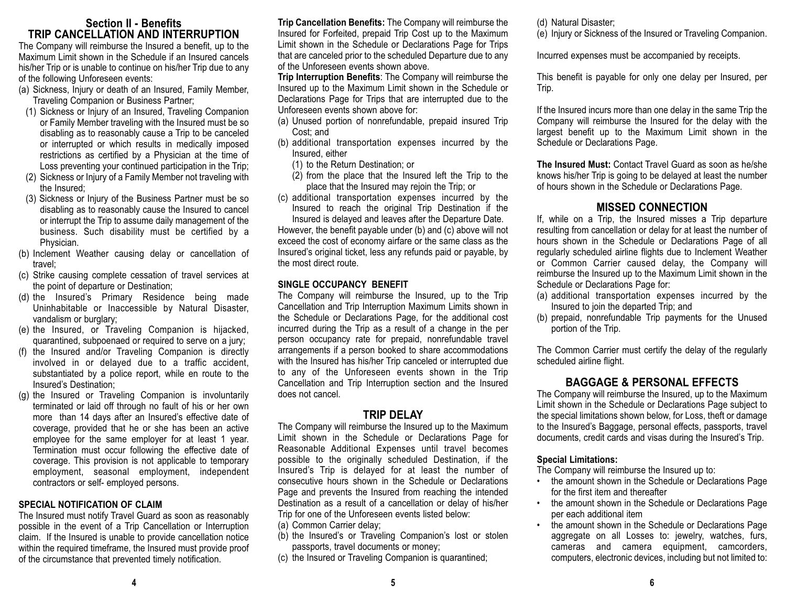## **Section II - BenefitsTRIP CANCELLATION AND INTERRUPTION**

The Company will reimburse the Insured a benefit, up to the Maximum Limit shown in the Schedule if an Insured cancels his/her Trip or is unable to continue on his/her Trip due to any of the following Unforeseen events:

- (a) Sickness, Injury or death of an Insured, Family Member, Traveling Companion or Business Partner;
- (1) Sickness or Injury of an Insured, Traveling Companion or Family Member traveling with the Insured must be so disabling as to reasonably cause a Trip to be canceled or interrupted or which results in medically imposed restrictions as certified by a Physician at the time of Loss preventing your continued participation in the Trip;
- (2) Sickness or Injury of a Family Member not traveling with the Insured;
- (3) Sickness or Injury of the Business Partner must be so disabling as to reasonably cause the Insured to cancel or interrupt the Trip to assume daily management of the business. Such disability must be certified by a Physician.
- (b) Inclement Weather causing delay or cancellation of travel;
- (c) Strike causing complete cessation of travel services at the point of departure or Destination;
- (d) the Insured's Primary Residence being made Uninhabitable or Inaccessible by Natural Disaster, vandalism or burglary;
- (e) the Insured, or Traveling Companion is hijacked, quarantined, subpoenaed or required to serve on a jury;
- (f) the Insured and/or Traveling Companion is directly involved in or delayed due to a traffic accident, substantiated by a police report, while en route to the Insured's Destination;
- (g) the Insured or Traveling Companion is involuntarily terminated or laid off through no fault of his or her own more than 14 days after an Insured's effective date of coverage, provided that he or she has been an active employee for the same employer for at least 1 year. Termination must occur following the effective date of coverage. This provision is not applicable to temporary employment, seasonal employment, independent contractors or self- employed persons.

#### **SPECIAL NOTIFICATION OF CLAIM**

The Insured must notify Travel Guard as soon as reasonably possible in the event of a Trip Cancellation or Interruption claim. If the Insured is unable to provide cancellation notice within the required timeframe, the Insured must provide proof of the circumstance that prevented timely notification.

**Trip Cancellation Benefits:** The Company will reimburse the Insured for Forfeited, prepaid Trip Cost up to the Maximum Limit shown in the Schedule or Declarations Page for Trips that are canceled prior to the scheduled Departure due to any of the Unforeseen events shown above.

**Trip Interruption Benefits**: The Company will reimburse the Insured up to the Maximum Limit shown in the Schedule or Declarations Page for Trips that are interrupted due to the Unforeseen events shown above for:

- (a) Unused portion of nonrefundable, prepaid insured Trip Cost; and
- (b) additional transportation expenses incurred by the Insured, either
	- (1) to the Return Destination; or
	- (2) from the place that the Insured left the Trip to the place that the Insured may rejoin the Trip; or
- (c) additional transportation expenses incurred by the Insured to reach the original Trip Destination if the Insured is delayed and leaves after the Departure Date.

However, the benefit payable under (b) and (c) above will not exceed the cost of economy airfare or the same class as the Insured's original ticket, less any refunds paid or payable, by the most direct route.

## **SINGLE OCCUPANCY BENEFIT**

The Company will reimburse the Insured, up to the Trip Cancellation and Trip Interruption Maximum Limits shown in the Schedule or Declarations Page, for the additional cost incurred during the Trip as a result of a change in the per person occupancy rate for prepaid, nonrefundable travel arrangements if a person booked to share accommodations with the Insured has his/her Trip canceled or interrupted due to any of the Unforeseen events shown in the Trip Cancellation and Trip Interruption section and the Insured does not cancel.

## **TRIP DELAY**

The Company will reimburse the Insured up to the Maximum Limit shown in the Schedule or Declarations Page for Reasonable Additional Expenses until travel becomes possible to the originally scheduled Destination, if the Insured's Trip is delayed for at least the number of consecutive hours shown in the Schedule or Declarations Page and prevents the Insured from reaching the intended Destination as a result of a cancellation or delay of his/her Trip for one of the Unforeseen events listed below:

- (a) Common Carrier delay;
- (b) the Insured's or Traveling Companion's lost or stolen passports, travel documents or money;
- (c) the Insured or Traveling Companion is quarantined;

(d) Natural Disaster;

(e) Injury or Sickness of the Insured or Traveling Companion.

Incurred expenses must be accompanied by receipts.

This benefit is payable for only one delay per Insured, per Trip.

If the Insured incurs more than one delay in the same Trip the Company will reimburse the Insured for the delay with the largest benefit up to the Maximum Limit shown in the Schedule or Declarations Page.

**The Insured Must:** Contact Travel Guard as soon as he/sheknows his/her Trip is going to be delayed at least the number of hours shown in the Schedule or Declarations Page.

## **MISSED CONNECTION**

If, while on a Trip, the Insured misses a Trip departure resulting from cancellation or delay for at least the number of hours shown in the Schedule or Declarations Page of all regularly scheduled airline flights due to Inclement Weather or Common Carrier caused delay, the Company will reimburse the Insured up to the Maximum Limit shown in the Schedule or Declarations Page for:

- (a) additional transportation expenses incurred by the Insured to join the departed Trip; and
- (b) prepaid, nonrefundable Trip payments for the Unused portion of the Trip.

The Common Carrier must certify the delay of the regularly scheduled airline flight.

## **BAGGAGE & PERSONAL EFFECTS**

The Company will reimburse the Insured, up to the Maximum Limit shown in the Schedule or Declarations Page subject to the special limitations shown below, for Loss, theft or damage to the Insured's Baggage, personal effects, passports, travel documents, credit cards and visas during the Insured's Trip.

#### **Special Limitations:**

The Company will reimburse the Insured up to:

- the amount shown in the Schedule or Declarations Page for the first item and thereafter
- the amount shown in the Schedule or Declarations Page per each additional item
- • the amount shown in the Schedule or Declarations Page aggregate on all Losses to: jewelry, watches, furs, cameras and camera equipment, camcorders, computers, electronic devices, including but not limited to: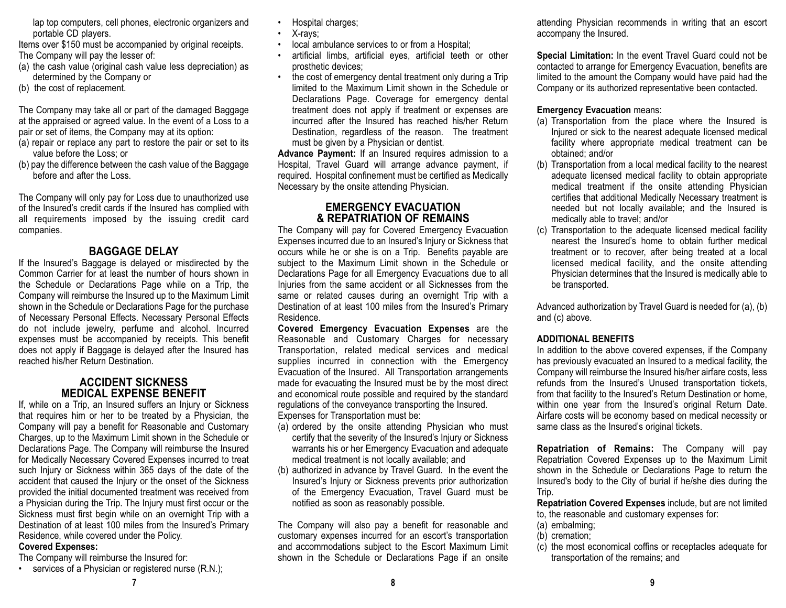lap top computers, cell phones, electronic organizers and portable CD players.

Items over \$150 must be accompanied by original receipts. The Company will pay the lesser of:

- (a) the cash value (original cash value less depreciation) as determined by the Company or
- (b) the cost of replacement.

The Company may take all or part of the damaged Baggage at the appraised or agreed value. In the event of a Loss to a pair or set of items, the Company may at its option:

- (a) repair or replace any part to restore the pair or set to its value before the Loss; or
- (b) pay the difference between the cash value of the Baggage before and after the Loss.

The Company will only pay for Loss due to unauthorized use of the Insured's credit cards if the Insured has complied with all requirements imposed by the issuing credit card companies.

## **BAGGAGE DELAY**

 If the Insured's Baggage is delayed or misdirected by the Common Carrier for at least the number of hours shown inthe Schedule or Declarations Page while on a Trip, the Company will reimburse the Insured up to the Maximum Limit shown in the Schedule or Declarations Page for the purchase of Necessary Personal Effects. Necessary Personal Effects do not include jewelry, perfume and alcohol. Incurred expenses must be accompanied by receipts. This benefit does not apply if Baggage is delayed after the Insured has reached his/her Return Destination.

## **ACCIDENT SICKNESS MEDICAL EXPENSE BENEFIT**

If, while on a Trip, an Insured suffers an Injury or Sickness that requires him or her to be treated by a Physician, the Company will pay a benefit for Reasonable and Customary Charges, up to the Maximum Limit shown in the Schedule or Declarations Page. The Company will reimburse the Insured for Medically Necessary Covered Expenses incurred to treat such Injury or Sickness within 365 days of the date of the accident that caused the Injury or the onset of the Sickness provided the initial documented treatment was received from a Physician during the Trip. The Injury must first occur or the Sickness must first begin while on an overnight Trip with a Destination of at least 100 miles from the Insured's Primary Residence, while covered under the Policy.

## **Covered Expenses:**

The Company will reimburse the Insured for:

• services of a Physician or registered nurse (R.N.);

- •Hospital charges;
- •X-rays;
- •local ambulance services to or from a Hospital;
- • artificial limbs, artificial eyes, artificial teeth or other prosthetic devices;
- • the cost of emergency dental treatment only during a Trip limited to the Maximum Limit shown in the Schedule orDeclarations Page. Coverage for emergency dental treatment does not apply if treatment or expenses are incurred after the Insured has reached his/her ReturnDestination, regardless of the reason. The treatment must be given by a Physician or dentist.

**Advance Payment:** If an Insured requires admission to a Hospital, Travel Guard will arrange advance payment, if required. Hospital confinement must be certified as Medically Necessary by the onsite attending Physician.

## **EMERGENCY EVACUATION& REPATRIATION OF REMAINS**

The Company will pay for Covered Emergency Evacuation Expenses incurred due to an Insured's Injury or Sickness that occurs while he or she is on a Trip. Benefits payable are subject to the Maximum Limit shown in the Schedule or Declarations Page for all Emergency Evacuations due to all Injuries from the same accident or all Sicknesses from the same or related causes during an overnight Trip with a Destination of at least 100 miles from the Insured's Primary Residence.

**Covered Emergency Evacuation Expenses** are the Reasonable and Customary Charges for necessary Transportation, related medical services and medical supplies incurred in connection with the Emergency Evacuation of the Insured. All Transportation arrangements made for evacuating the Insured must be by the most direct and economical route possible and required by the standard regulations of the conveyance transporting the Insured. Expenses for Transportation must be:

- (a) ordered by the onsite attending Physician who must certify that the severity of the Insured's Injury or Sickness warrants his or her Emergency Evacuation and adequate medical treatment is not locally available; and
- (b) authorized in advance by Travel Guard. In the event the Insured's Injury or Sickness prevents prior authorization of the Emergency Evacuation, Travel Guard must be notified as soon as reasonably possible.

The Company will also pay a benefit for reasonable and customary expenses incurred for an escort's transportation and accommodations subject to the Escort Maximum Limit shown in the Schedule or Declarations Page if an onsite

attending Physician recommends in writing that an escort accompany the Insured.

**Special Limitation:** In the event Travel Guard could not be contacted to arrange for Emergency Evacuation, benefits are limited to the amount the Company would have paid had the Company or its authorized representative been contacted.

## **Emergency Evacuation** means:

- (a) Transportation from the place where the Insured is Injured or sick to the nearest adequate licensed medical facility where appropriate medical treatment can be obtained; and/or
- (b) Transportation from a local medical facility to the nearest adequate licensed medical facility to obtain appropriate medical treatment if the onsite attending Physician certifies that additional Medically Necessary treatment is needed but not locally available; and the Insured is medically able to travel; and/or
- (c) Transportation to the adequate licensed medical facility nearest the Insured's home to obtain further medicaltreatment or to recover, after being treated at a local licensed medical facility, and the onsite attending Physician determines that the Insured is medically able to be transported.

Advanced authorization by Travel Guard is needed for (a), (b) and (c) above.

## **ADDITIONAL BENEFITS**

In addition to the above covered expenses, if the Company has previously evacuated an Insured to a medical facility, the Company will reimburse the Insured his/her airfare costs, less refunds from the Insured's Unused transportation tickets, from that facility to the Insured's Return Destination or home, within one year from the Insured's original Return Date. Airfare costs will be economy based on medical necessity or same class as the Insured's original tickets.

**Repatriation of Remains:** The Company will pay Repatriation Covered Expenses up to the Maximum Limit shown in the Schedule or Declarations Page to return the Insured's body to the City of burial if he/she dies during the Trip.

**Repatriation Covered Expenses** include, but are not limited to, the reasonable and customary expenses for:

- (a) embalming;
- (b) cremation;
- (c) the most economical coffins or receptacles adequate for transportation of the remains; and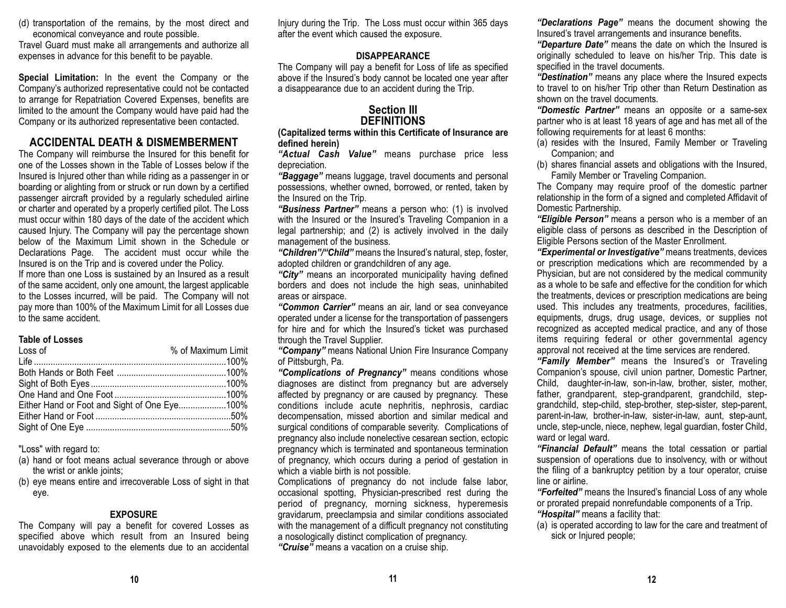(d) transportation of the remains, by the most direct and economical conveyance and route possible.

Travel Guard must make all arrangements and authorize all expenses in advance for this benefit to be payable.

**Special Limitation:** In the event the Company or the Company's authorized representative could not be contacted to arrange for Repatriation Covered Expenses, benefits are limited to the amount the Company would have paid had the Company or its authorized representative been contacted.

## **ACCIDENTAL DEATH & DISMEMBERMENT**

The Company will reimburse the Insured for this benefit for one of the Losses shown in the Table of Losses below if theInsured is Injured other than while riding as a passenger in or boarding or alighting from or struck or run down by a certified passenger aircraft provided by a regularly scheduled airline or charter and operated by a properly certified pilot. The Loss must occur within 180 days of the date of the accident which caused Injury. The Company will pay the percentage shown below of the Maximum Limit shown in the Schedule orDeclarations Page. The accident must occur while the Insured is on the Trip and is covered under the Policy. If more than one Loss is sustained by an Insured as a result of the same accident, only one amount, the largest applicable to the Losses incurred, will be paid. The Company will not

pay more than 100% of the Maximum Limit for all Losses due to the same accident.

#### **Table of Losses**

| Loss of                                      | % of Maximum Limit |
|----------------------------------------------|--------------------|
|                                              |                    |
|                                              |                    |
|                                              |                    |
|                                              |                    |
| Either Hand or Foot and Sight of One Eye100% |                    |
|                                              |                    |
|                                              |                    |
|                                              |                    |

"Loss" with regard to:

- (a) hand or foot means actual severance through or above the wrist or ankle joints;
- (b) eye means entire and irrecoverable Loss of sight in that eye.

## **EXPOSURE**

The Company will pay a benefit for covered Losses as specified above which result from an Insured being unavoidably exposed to the elements due to an accidental Injury during the Trip. The Loss must occur within 365 days after the event which caused the exposure.

## **DISAPPEARANCE**

The Company will pay a benefit for Loss of life as specified above if the Insured's body cannot be located one year after a disappearance due to an accident during the Trip.

## **Section IIIDEFINITIONS**

**(Capitalized terms within this Certificate of Insurance are defined herein)**

*"Actual Cash Value"* means purchase price less depreciation.

*"Baggage"* means luggage, travel documents and personal possessions, whether owned, borrowed, or rented, taken by the Insured on the Trip.

*"Business Partner"* means a person who: (1) is involved with the Insured or the Insured's Traveling Companion in a legal partnership; and (2) is actively involved in the daily management of the business.

*"Children"/"Child"* means the Insured's natural, step, foster, adopted children or grandchildren of any age.

*"City"* means an incorporated municipality having defined borders and does not include the high seas, uninhabited areas or airspace.

*"Common Carrier"* means an air, land or sea conveyance operated under a license for the transportation of passengers for hire and for which the Insured's ticket was purchased through the Travel Supplier.

*"Company"* means National Union Fire Insurance Company of Pittsburgh, Pa.

*"Complications of Pregnancy"* means conditions whose diagnoses are distinct from pregnancy but are adversely affected by pregnancy or are caused by pregnancy. These conditions include acute nephritis, nephrosis, cardiac decompensation, missed abortion and similar medical and surgical conditions of comparable severity. Complications of pregnancy also include nonelective cesarean section, ectopic pregnancy which is terminated and spontaneous termination of pregnancy, which occurs during a period of gestation in which a viable birth is not possible.

Complications of pregnancy do not include false labor, occasional spotting, Physician-prescribed rest during the period of pregnancy, morning sickness, hyperemesis gravidarum, preeclampsia and similar conditions associated with the management of a difficult pregnancy not constituting a nosologically distinct complication of pregnancy.

*"Cruise"* means a vacation on a cruise ship.

*"Declarations Page"* means the document showing the Insured's travel arrangements and insurance benefits.

*"Departure Date"* means the date on which the Insured is originally scheduled to leave on his/her Trip. This date is specified in the travel documents.

*"Destination"* means any place where the Insured expects to travel to on his/her Trip other than Return Destination as shown on the travel documents.

 *"Domestic Partner"* means an opposite or a same-sex partner who is at least 18 years of age and has met all of the following requirements for at least 6 months:

- (a) resides with the Insured, Family Member or Traveling Companion; and
- (b) shares financial assets and obligations with the Insured, Family Member or Traveling Companion.

The Company may require proof of the domestic partner relationship in the form of a signed and completed Affidavit of Domestic Partnership.

*"Eligible Person"* means a person who is a member of an eligible class of persons as described in the Description of Eligible Persons section of the Master Enrollment.

*"Experimental or Investigative"* means treatments, devices or prescription medications which are recommended by a Physician, but are not considered by the medical community as a whole to be safe and effective for the condition for whichthe treatments, devices or prescription medications are being used. This includes any treatments, procedures, facilities, equipments, drugs, drug usage, devices, or supplies not recognized as accepted medical practice, and any of those items requiring federal or other governmental agency approval not received at the time services are rendered.

*"Family Member"* means the Insured's or Traveling Companion's spouse, civil union partner, Domestic Partner, Child, daughter-in-law, son-in-law, brother, sister, mother, father, grandparent, step-grandparent, grandchild, stepgrandchild, step-child, step-brother, step-sister, step-parent, parent-in-law, brother-in-law, sister-in-law, aunt, step-aunt, uncle, step-uncle, niece, nephew, legal guardian, foster Child, ward or legal ward.

*"Financial Default"* means the total cessation or partial suspension of operations due to insolvency, with or without the filing of a bankruptcy petition by a tour operator, cruise line or airline.

*"Forfeited"* means the Insured's financial Loss of any whole or prorated prepaid nonrefundable components of a Trip. *"Hospital"* means a facility that:

(a) is operated according to law for the care and treatment of sick or Injured people;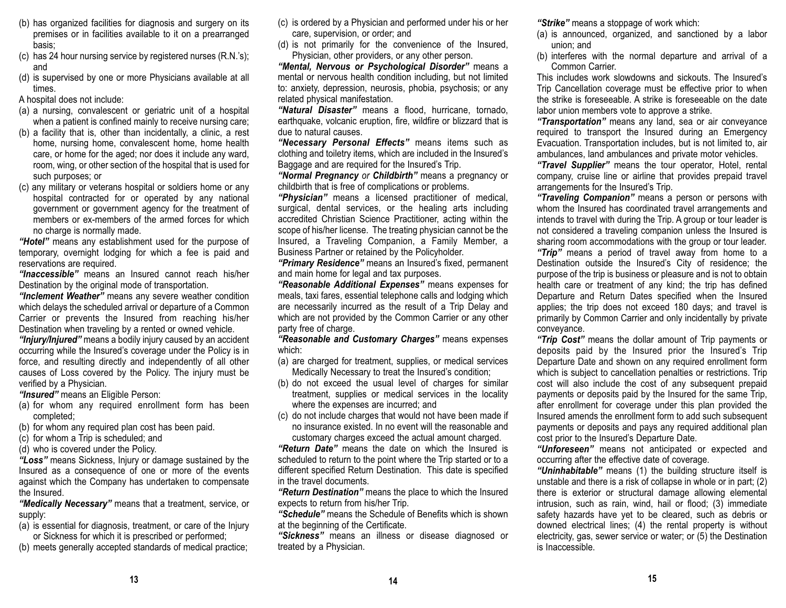- (b) has organized facilities for diagnosis and surgery on its premises or in facilities available to it on a prearranged basis;
- (c) has 24 hour nursing service by registered nurses (R.N.'s); and
- (d) is supervised by one or more Physicians available at all times.

A hospital does not include:

- (a) a nursing, convalescent or geriatric unit of a hospital when a patient is confined mainly to receive nursing care;
- (b) a facility that is, other than incidentally, a clinic, a rest home, nursing home, convalescent home, home health care, or home for the aged; nor does it include any ward, room, wing, or other section of the hospital that is used for such purposes; or
- (c) any military or veterans hospital or soldiers home or any hospital contracted for or operated by any national government or government agency for the treatment of members or ex-members of the armed forces for which no charge is normally made.

*"Hotel"* means any establishment used for the purpose of temporary, overnight lodging for which a fee is paid and reservations are required.

*"Inaccessible"* means an Insured cannot reach his/herDestination by the original mode of transportation.

*"Inclement Weather"* means any severe weather condition which delays the scheduled arrival or departure of a Common Carrier or prevents the Insured from reaching his/her Destination when traveling by a rented or owned vehicle.

*"Injury/Injured"* means a bodily injury caused by an accident occurring while the Insured's coverage under the Policy is in force, and resulting directly and independently of all other causes of Loss covered by the Policy. The injury must be verified by a Physician.

*"Insured"* means an Eligible Person:

- (a) for whom any required enrollment form has been completed;
- (b) for whom any required plan cost has been paid.
- (c) for whom a Trip is scheduled; and
- (d) who is covered under the Policy.

*"Loss"* means Sickness, Injury or damage sustained by the Insured as a consequence of one or more of the events against which the Company has undertaken to compensate the Insured.

*"Medically Necessary"* means that a treatment, service, or supply:

- (a) is essential for diagnosis, treatment, or care of the Injury or Sickness for which it is prescribed or performed;
- (b) meets generally accepted standards of medical practice;
- (c) is ordered by a Physician and performed under his or her care, supervision, or order; and
- (d) is not primarily for the convenience of the Insured, Physician, other providers, or any other person.

*"Mental, Nervous or Psychological Disorder"* means a mental or nervous health condition including, but not limited to: anxiety, depression, neurosis, phobia, psychosis; or any related physical manifestation.

*"Natural Disaster"* means a flood, hurricane, tornado, earthquake, volcanic eruption, fire, wildfire or blizzard that is due to natural causes.

*"Necessary Personal Effects"* means items such as clothing and toiletry items, which are included in the Insured's Baggage and are required for the Insured's Trip.

*"Normal Pregnancy or Childbirth"* means a pregnancy or childbirth that is free of complications or problems.

*"Physician"* means a licensed practitioner of medical, surgical, dental services, or the healing arts including accredited Christian Science Practitioner, acting within the scope of his/her license. The treating physician cannot be the Insured, a Traveling Companion, a Family Member, a Business Partner or retained by the Policyholder.

*"Primary Residence"* means an Insured's fixed, permanent and main home for legal and tax purposes.

*"Reasonable Additional Expenses"* means expenses for meals, taxi fares, essential telephone calls and lodging which are necessarily incurred as the result of a Trip Delay and which are not provided by the Common Carrier or any other party free of charge.

*"Reasonable and Customary Charges"* means expenses which:

- (a) are charged for treatment, supplies, or medical services Medically Necessary to treat the Insured's condition;
- (b) do not exceed the usual level of charges for similar treatment, supplies or medical services in the locality where the expenses are incurred; and
- (c) do not include charges that would not have been made if no insurance existed. In no event will the reasonable andcustomary charges exceed the actual amount charged.

*"Return Date"* means the date on which the Insured is scheduled to return to the point where the Trip started or to a different specified Return Destination. This date is specified in the travel documents.

*"Return Destination"* means the place to which the Insured expects to return from his/her Trip.

*"Schedule"* means the Schedule of Benefits which is shownat the beginning of the Certificate.

*"Sickness"* means an illness or disease diagnosed or treated by a Physician.

*"Strike"* means a stoppage of work which:

- (a) is announced, organized, and sanctioned by a labor union; and
- (b) interferes with the normal departure and arrival of a Common Carrier.

This includes work slowdowns and sickouts. The Insured's Trip Cancellation coverage must be effective prior to when the strike is foreseeable. A strike is foreseeable on the datelabor union members vote to approve a strike.

*"Transportation"* means any land, sea or air conveyance required to transport the Insured during an Emergency Evacuation. Transportation includes, but is not limited to, air ambulances, land ambulances and private motor vehicles.

*"Travel Supplier"* means the tour operator, Hotel, rental company, cruise line or airline that provides prepaid travel arrangements for the Insured's Trip.

*"Traveling Companion"* means a person or persons with whom the Insured has coordinated travel arrangements and intends to travel with during the Trip. A group or tour leader is not considered a traveling companion unless the Insured is sharing room accommodations with the group or tour leader. *"Trip"* means a period of travel away from home to a Destination outside the Insured's City of residence; the purpose of the trip is business or pleasure and is not to obtain health care or treatment of any kind; the trip has defined Departure and Return Dates specified when the Insured applies; the trip does not exceed 180 days; and travel is primarily by Common Carrier and only incidentally by private conveyance.

*"Trip Cost"* means the dollar amount of Trip payments or deposits paid by the Insured prior the Insured's Trip Departure Date and shown on any required enrollment form which is subject to cancellation penalties or restrictions. Trip cost will also include the cost of any subsequent prepaid payments or deposits paid by the Insured for the same Trip, after enrollment for coverage under this plan provided the Insured amends the enrollment form to add such subsequent payments or deposits and pays any required additional plan cost prior to the Insured's Departure Date.

*"Unforeseen"* means not anticipated or expected and occurring after the effective date of coverage.

*"Uninhabitable"* means (1) the building structure itself is unstable and there is a risk of collapse in whole or in part; (2) there is exterior or structural damage allowing elemental intrusion, such as rain, wind, hail or flood; (3) immediate safety hazards have yet to be cleared, such as debris or downed electrical lines; (4) the rental property is without electricity, gas, sewer service or water; or (5) the Destination is Inaccessible.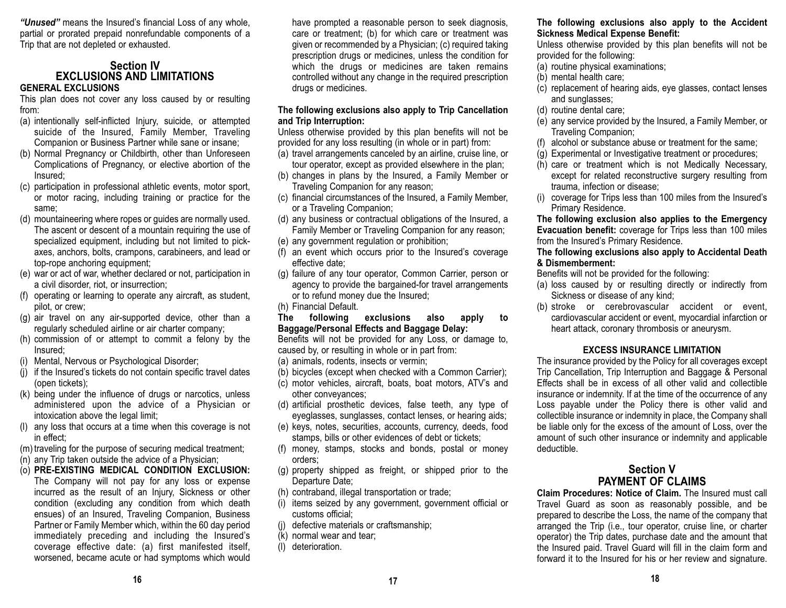*"Unused"* means the Insured's financial Loss of any whole, partial or prorated prepaid nonrefundable components of a Trip that are not depleted or exhausted.

#### **Section IV EXCLUSIONS AND LIMITATIONSGENERAL EXCLUSIONS**

This plan does not cover any loss caused by or resulting from:

- (a) intentionally self-inflicted Injury, suicide, or attempted suicide of the Insured, Family Member, Traveling Companion or Business Partner while sane or insane;
- (b) Normal Pregnancy or Childbirth, other than Unforeseen Complications of Pregnancy, or elective abortion of the Insured;
- (c) participation in professional athletic events, motor sport, or motor racing, including training or practice for the same;
- (d) mountaineering where ropes or guides are normally used. The ascent or descent of a mountain requiring the use of specialized equipment, including but not limited to pickaxes, anchors, bolts, crampons, carabineers, and lead or top-rope anchoring equipment;
- (e) war or act of war, whether declared or not, participation in a civil disorder, riot, or insurrection;
- (f) operating or learning to operate any aircraft, as student, pilot, or crew;
- (g) air travel on any air-supported device, other than a regularly scheduled airline or air charter company;
- (h) commission of or attempt to commit a felony by the Insured;
- (i) Mental, Nervous or Psychological Disorder;
- (j) if the Insured's tickets do not contain specific travel dates (open tickets);
- (k) being under the influence of drugs or narcotics, unless administered upon the advice of a Physician or intoxication above the legal limit;
- (l) any loss that occurs at a time when this coverage is not in effect;
- (m) traveling for the purpose of securing medical treatment;
- (n) any Trip taken outside the advice of a Physician;
- (o) **PRE-EXISTING MEDICAL CONDITION EXCLUSION:** The Company will not pay for any loss or expense incurred as the result of an Injury, Sickness or other condition (excluding any condition from which death ensues) of an Insured, Traveling Companion, Business Partner or Family Member which, within the 60 day period immediately preceding and including the Insured's coverage effective date: (a) first manifested itself, worsened, became acute or had symptoms which would

have prompted a reasonable person to seek diagnosis, care or treatment; (b) for which care or treatment was given or recommended by a Physician; (c) required taking prescription drugs or medicines, unless the condition for which the drugs or medicines are taken remains controlled without any change in the required prescription drugs or medicines.

#### **The following exclusions also apply to Trip Cancellation and Trip Interruption:**

Unless otherwise provided by this plan benefits will not be provided for any loss resulting (in whole or in part) from:

- (a) travel arrangements canceled by an airline, cruise line, or tour operator, except as provided elsewhere in the plan;
- (b) changes in plans by the Insured, a Family Member or Traveling Companion for any reason;
- (c) financial circumstances of the Insured, a Family Member, or a Traveling Companion;
- (d) any business or contractual obligations of the Insured, a Family Member or Traveling Companion for any reason;
- (e) any government regulation or prohibition;
- (f) an event which occurs prior to the Insured's coverage effective date;
- (g) failure of any tour operator, Common Carrier, person or agency to provide the bargained-for travel arrangements or to refund money due the Insured;
- (h) Financial Default.

#### **The following exclusions also apply to Baggage/Personal Effects and Baggage Delay:**

Benefits will not be provided for any Loss, or damage to, caused by, or resulting in whole or in part from:

(a) animals, rodents, insects or vermin;

- (b) bicycles (except when checked with a Common Carrier);
- (c) motor vehicles, aircraft, boats, boat motors, ATV's and other conveyances;
- (d) artificial prosthetic devices, false teeth, any type of eyeglasses, sunglasses, contact lenses, or hearing aids;
- (e) keys, notes, securities, accounts, currency, deeds, food stamps, bills or other evidences of debt or tickets;
- (f) money, stamps, stocks and bonds, postal or money orders;
- (g) property shipped as freight, or shipped prior to the Departure Date;
- (h) contraband, illegal transportation or trade;
- (i) items seized by any government, government official or customs official;
- (j) defective materials or craftsmanship;
- (k) normal wear and tear;
- (l) deterioration.

#### **The following exclusions also apply to the Accident Sickness Medical Expense Benefit:**

Unless otherwise provided by this plan benefits will not be provided for the following:

- (a) routine physical examinations;
- (b) mental health care;
- (c) replacement of hearing aids, eye glasses, contact lenses and sunglasses;
- (d) routine dental care;
- (e) any service provided by the Insured, a Family Member, or Traveling Companion;
- (f) alcohol or substance abuse or treatment for the same;
- (g) Experimental or Investigative treatment or procedures;
- (h) care or treatment which is not Medically Necessary, except for related reconstructive surgery resulting from trauma, infection or disease;
- (i) coverage for Trips less than 100 miles from the Insured's Primary Residence.

**The following exclusion also applies to the Emergency Evacuation benefit:** coverage for Trips less than 100 miles from the Insured's Primary Residence.

#### **The following exclusions also apply to Accidental Death & Dismemberment:**

Benefits will not be provided for the following:

- (a) loss caused by or resulting directly or indirectly from Sickness or disease of any kind;
- (b) stroke or cerebrovascular accident or event, cardiovascular accident or event, myocardial infarction or heart attack, coronary thrombosis or aneurysm.

#### **EXCESS INSURANCE LIMITATION**

The insurance provided by the Policy for all coverages except Trip Cancellation, Trip Interruption and Baggage & Personal Effects shall be in excess of all other valid and collectible insurance or indemnity. If at the time of the occurrence of any Loss payable under the Policy there is other valid and collectible insurance or indemnity in place, the Company shall be liable only for the excess of the amount of Loss, over the amount of such other insurance or indemnity and applicable deductible.

## **Section VPAYMENT OF CLAIMS**

**Claim Procedures: Notice of Claim.** The Insured must callTravel Guard as soon as reasonably possible, and be prepared to describe the Loss, the name of the company that arranged the Trip (i.e., tour operator, cruise line, or charter operator) the Trip dates, purchase date and the amount that the Insured paid. Travel Guard will fill in the claim form and forward it to the Insured for his or her review and signature.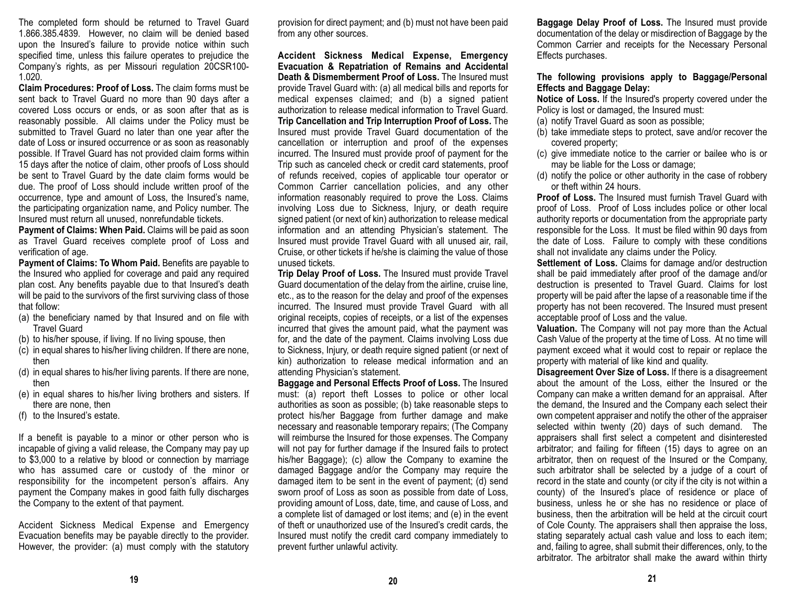The completed form should be returned to Travel Guard 1.866.385.4839. However, no claim will be denied based upon the Insured's failure to provide notice within such specified time, unless this failure operates to prejudice the Company's rights, as per Missouri regulation 20CSR100- 1.020.

**Claim Procedures: Proof of Loss.** The claim forms must besent back to Travel Guard no more than 90 days after a covered Loss occurs or ends, or as soon after that as is reasonably possible. All claims under the Policy must be submitted to Travel Guard no later than one year after the date of Loss or insured occurrence or as soon as reasonably possible. If Travel Guard has not provided claim forms within 15 days after the notice of claim, other proofs of Loss should be sent to Travel Guard by the date claim forms would be due. The proof of Loss should include written proof of the occurrence, type and amount of Loss, the Insured's name, the participating organization name, and Policy number. The Insured must return all unused, nonrefundable tickets.

**Payment of Claims: When Paid.** Claims will be paid as soon as Travel Guard receives complete proof of Loss and verification of age.

**Payment of Claims: To Whom Paid.** Benefits are payable to the Insured who applied for coverage and paid any required plan cost. Any benefits payable due to that Insured's death will be paid to the survivors of the first surviving class of those that follow:

- (a) the beneficiary named by that Insured and on file with Travel Guard
- (b) to his/her spouse, if living. If no living spouse, then
- (c) in equal shares to his/her living children. If there are none, then
- (d) in equal shares to his/her living parents. If there are none, then
- (e) in equal shares to his/her living brothers and sisters. If there are none, then
- (f) to the Insured's estate.

If a benefit is payable to a minor or other person who is incapable of giving a valid release, the Company may pay up to \$3,000 to a relative by blood or connection by marriage who has assumed care or custody of the minor or responsibility for the incompetent person's affairs. Any payment the Company makes in good faith fully discharges the Company to the extent of that payment.

Accident Sickness Medical Expense and Emergency Evacuation benefits may be payable directly to the provider. However, the provider: (a) must comply with the statutory provision for direct payment; and (b) must not have been paid from any other sources.

**Accident Sickness Medical Expense, Emergency Evacuation & Repatriation of Remains and Accidental Death & Dismemberment Proof of Loss.** The Insured must provide Travel Guard with: (a) all medical bills and reports for medical expenses claimed; and (b) a signed patient authorization to release medical information to Travel Guard. **Trip Cancellation and Trip Interruption Proof of Loss.** The Insured must provide Travel Guard documentation of the cancellation or interruption and proof of the expenses incurred. The Insured must provide proof of payment for the Trip such as canceled check or credit card statements, proof of refunds received, copies of applicable tour operator or Common Carrier cancellation policies, and any other information reasonably required to prove the Loss. Claims involving Loss due to Sickness, Injury, or death require signed patient (or next of kin) authorization to release medical information and an attending Physician's statement. The Insured must provide Travel Guard with all unused air, rail, Cruise, or other tickets if he/she is claiming the value of those unused tickets.

**Trip Delay Proof of Loss.** The Insured must provide Travel Guard documentation of the delay from the airline, cruise line, etc., as to the reason for the delay and proof of the expenses incurred. The Insured must provide Travel Guard with all original receipts, copies of receipts, or a list of the expenses incurred that gives the amount paid, what the payment was for, and the date of the payment. Claims involving Loss due to Sickness, Injury, or death require signed patient (or next of kin) authorization to release medical information and an attending Physician's statement.

**Baggage and Personal Effects Proof of Loss.** The Insured must: (a) report theft Losses to police or other local authorities as soon as possible; (b) take reasonable steps to protect his/her Baggage from further damage and make necessary and reasonable temporary repairs; (The Company will reimburse the Insured for those expenses. The Company will not pay for further damage if the Insured fails to protect his/her Baggage); (c) allow the Company to examine the damaged Baggage and/or the Company may require the damaged item to be sent in the event of payment; (d) send sworn proof of Loss as soon as possible from date of Loss, providing amount of Loss, date, time, and cause of Loss, and a complete list of damaged or lost items; and (e) in the event of theft or unauthorized use of the Insured's credit cards, the Insured must notify the credit card company immediately to prevent further unlawful activity.

**Baggage Delay Proof of Loss.** The Insured must provide documentation of the delay or misdirection of Baggage by the Common Carrier and receipts for the Necessary Personal Effects purchases.

#### **The following provisions apply to Baggage/Personal Effects and Baggage Delay:**

**Notice of Loss.** If the Insured's property covered under the Policy is lost or damaged, the Insured must:

- (a) notify Travel Guard as soon as possible;
- (b) take immediate steps to protect, save and/or recover the covered property;
- (c) give immediate notice to the carrier or bailee who is or may be liable for the Loss or damage;
- (d) notify the police or other authority in the case of robbery or theft within 24 hours.

**Proof of Loss.** The Insured must furnish Travel Guard withproof of Loss. Proof of Loss includes police or other local authority reports or documentation from the appropriate party responsible for the Loss. It must be filed within 90 days from the date of Loss. Failure to comply with these conditions shall not invalidate any claims under the Policy.

**Settlement of Loss.** Claims for damage and/or destruction shall be paid immediately after proof of the damage and/or destruction is presented to Travel Guard. Claims for lost property will be paid after the lapse of a reasonable time if the property has not been recovered. The Insured must present acceptable proof of Loss and the value.

**Valuation.** The Company will not pay more than the Actual Cash Value of the property at the time of Loss. At no time will payment exceed what it would cost to repair or replace the property with material of like kind and quality.

**Disagreement Over Size of Loss.** If there is a disagreement about the amount of the Loss, either the Insured or the Company can make a written demand for an appraisal. After the demand, the Insured and the Company each select their own competent appraiser and notify the other of the appraiser selected within twenty (20) days of such demand. The appraisers shall first select a competent and disinterested arbitrator; and failing for fifteen (15) days to agree on an arbitrator, then on request of the Insured or the Company, such arbitrator shall be selected by a judge of a court of record in the state and county (or city if the city is not within a county) of the Insured's place of residence or place of business, unless he or she has no residence or place of business, then the arbitration will be held at the circuit court of Cole County. The appraisers shall then appraise the loss, stating separately actual cash value and loss to each item; and, failing to agree, shall submit their differences, only, to the arbitrator. The arbitrator shall make the award within thirty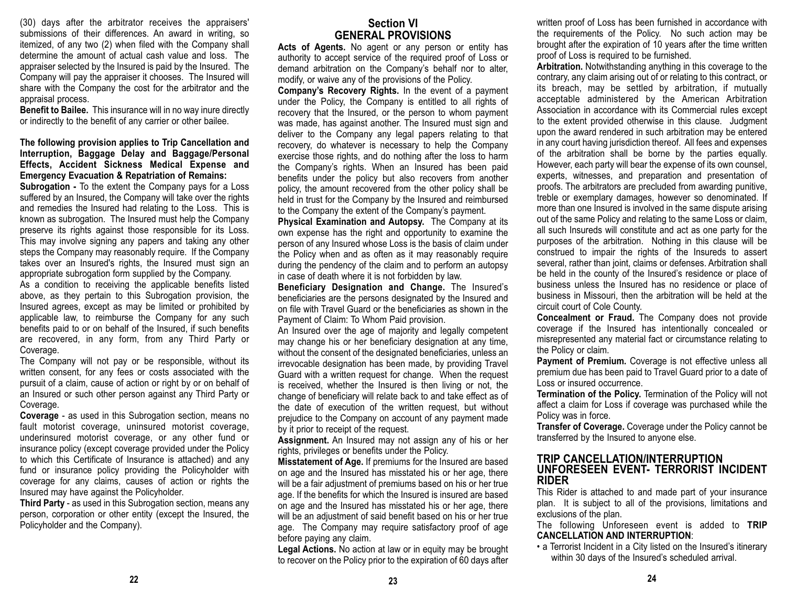(30) days after the arbitrator receives the appraisers' submissions of their differences. An award in writing, so itemized, of any two (2) when filed with the Company shall determine the amount of actual cash value and loss. The appraiser selected by the Insured is paid by the Insured. The Company will pay the appraiser it chooses. The Insured will share with the Company the cost for the arbitrator and the appraisal process.

**Benefit to Bailee.** This insurance will in no way inure directly or indirectly to the benefit of any carrier or other bailee.

#### **The following provision applies to Trip Cancellation and Interruption, Baggage Delay and Baggage/Personal Effects, Accident Sickness Medical Expense and Emergency Evacuation & Repatriation of Remains:**

**Subrogation -** To the extent the Company pays for a Loss suffered by an Insured, the Company will take over the rights and remedies the Insured had relating to the Loss. This is known as subrogation. The Insured must help the Company preserve its rights against those responsible for its Loss. This may involve signing any papers and taking any other steps the Company may reasonably require. If the Company takes over an Insured's rights, the Insured must sign an appropriate subrogation form supplied by the Company.

As a condition to receiving the applicable benefits listed above, as they pertain to this Subrogation provision, the Insured agrees, except as may be limited or prohibited by applicable law, to reimburse the Company for any such benefits paid to or on behalf of the Insured, if such benefits are recovered, in any form, from any Third Party or Coverage.

The Company will not pay or be responsible, without its written consent, for any fees or costs associated with the pursuit of a claim, cause of action or right by or on behalf of an Insured or such other person against any Third Party or Coverage.

**Coverage** - as used in this Subrogation section, means no fault motorist coverage, uninsured motorist coverage, underinsured motorist coverage, or any other fund or insurance policy (except coverage provided under the Policy to which this Certificate of Insurance is attached) and any fund or insurance policy providing the Policyholder with coverage for any claims, causes of action or rights the Insured may have against the Policyholder.

**Third Party** - as used in this Subrogation section, means any person, corporation or other entity (except the Insured, the Policyholder and the Company).

## **Section VIGENERAL PROVISIONS**

**Acts of Agents.** No agent or any person or entity has authority to accept service of the required proof of Loss or demand arbitration on the Company's behalf nor to alter, modify, or waive any of the provisions of the Policy.

**Company's Recovery Rights.** In the event of a payment under the Policy, the Company is entitled to all rights of recovery that the Insured, or the person to whom payment was made, has against another. The Insured must sign and deliver to the Company any legal papers relating to that recovery, do whatever is necessary to help the Company exercise those rights, and do nothing after the loss to harm the Company's rights. When an Insured has been paid benefits under the policy but also recovers from another policy, the amount recovered from the other policy shall be held in trust for the Company by the Insured and reimbursed to the Company the extent of the Company's payment.

**Physical Examination and Autopsy.** The Company at its own expense has the right and opportunity to examine the person of any Insured whose Loss is the basis of claim under the Policy when and as often as it may reasonably require during the pendency of the claim and to perform an autopsy in case of death where it is not forbidden by law.

**Beneficiary Designation and Change.** The Insured's beneficiaries are the persons designated by the Insured and on file with Travel Guard or the beneficiaries as shown in thePayment of Claim: To Whom Paid provision.

An Insured over the age of majority and legally competent may change his or her beneficiary designation at any time, without the consent of the designated beneficiaries, unless an irrevocable designation has been made, by providing Travel Guard with a written request for change. When the request is received, whether the Insured is then living or not, the change of beneficiary will relate back to and take effect as of the date of execution of the written request, but without prejudice to the Company on account of any payment made by it prior to receipt of the request.

**Assignment.** An Insured may not assign any of his or her rights, privileges or benefits under the Policy.

**Misstatement of Age.** If premiums for the Insured are based on age and the Insured has misstated his or her age, there will be a fair adjustment of premiums based on his or her true age. If the benefits for which the Insured is insured are based on age and the Insured has misstated his or her age, there will be an adjustment of said benefit based on his or her true age. The Company may require satisfactory proof of age before paying any claim.

**Legal Actions.** No action at law or in equity may be brought to recover on the Policy prior to the expiration of 60 days after

written proof of Loss has been furnished in accordance with the requirements of the Policy. No such action may be brought after the expiration of 10 years after the time written proof of Loss is required to be furnished.

**Arbitration.** Notwithstanding anything in this coverage to the contrary, any claim arising out of or relating to this contract, or its breach, may be settled by arbitration, if mutually acceptable administered by the American Arbitration Association in accordance with its Commercial rules except to the extent provided otherwise in this clause. Judgment upon the award rendered in such arbitration may be entered in any court having jurisdiction thereof. All fees and expenses of the arbitration shall be borne by the parties equally. However, each party will bear the expense of its own counsel, experts, witnesses, and preparation and presentation of proofs. The arbitrators are precluded from awarding punitive, treble or exemplary damages, however so denominated. If more than one Insured is involved in the same dispute arising out of the same Policy and relating to the same Loss or claim, all such Insureds will constitute and act as one party for the purposes of the arbitration. Nothing in this clause will be construed to impair the rights of the Insureds to assert several, rather than joint, claims or defenses. Arbitration shall be held in the county of the Insured's residence or place of business unless the Insured has no residence or place of business in Missouri, then the arbitration will be held at the circuit court of Cole County.

**Concealment or Fraud.** The Company does not provide coverage if the Insured has intentionally concealed or misrepresented any material fact or circumstance relating to the Policy or claim.

**Payment of Premium.** Coverage is not effective unless all premium due has been paid to Travel Guard prior to a date of Loss or insured occurrence.

**Termination of the Policy.** Termination of the Policy will not affect a claim for Loss if coverage was purchased while the Policy was in force.

**Transfer of Coverage.** Coverage under the Policy cannot be transferred by the Insured to anyone else.

#### **TRIP CANCELLATION/INTERRUPTION UNFORESEEN EVENT- TERRORIST INCIDENTRIDER**

This Rider is attached to and made part of your insurance plan. It is subject to all of the provisions, limitations and exclusions of the plan.

The following Unforeseen event is added to **TRIP CANCELLATION AND INTERRUPTION**:

• a Terrorist Incident in a City listed on the Insured's itinerary within 30 days of the Insured's scheduled arrival.